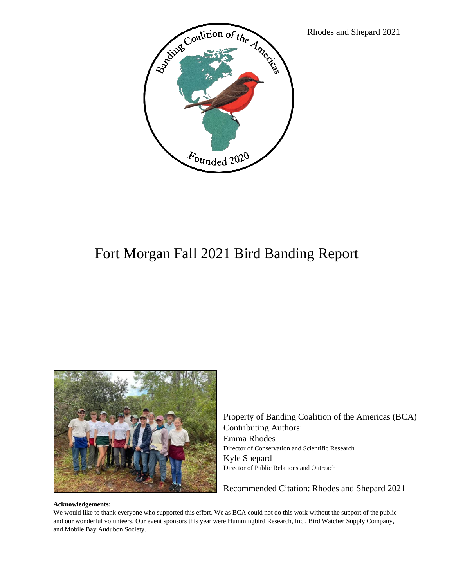

## Fort Morgan Fall 2021 Bird Banding Report



Property of Banding Coalition of the Americas (BCA) Contributing Authors: Emma Rhodes Director of Conservation and Scientific Research Kyle Shepard Director of Public Relations and Outreach

Recommended Citation: Rhodes and Shepard 2021

## **Acknowledgements:**

We would like to thank everyone who supported this effort. We as BCA could not do this work without the support of the public and our wonderful volunteers. Our event sponsors this year were Hummingbird Research, Inc., Bird Watcher Supply Company, and Mobile Bay Audubon Society.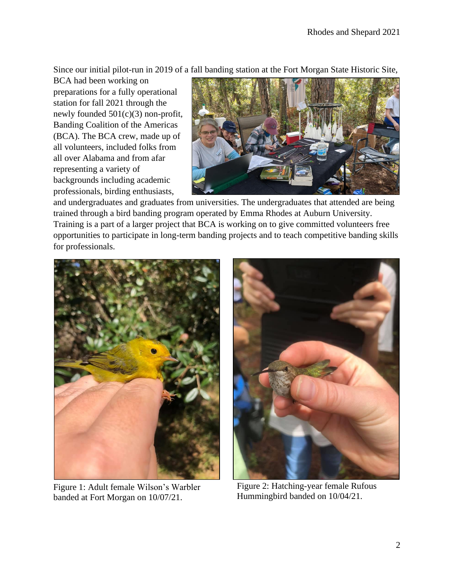Since our initial pilot-run in 2019 of a fall banding station at the Fort Morgan State Historic Site,

BCA had been working on preparations for a fully operational station for fall 2021 through the newly founded 501(c)(3) non-profit, Banding Coalition of the Americas (BCA). The BCA crew, made up of all volunteers, included folks from all over Alabama and from afar representing a variety of backgrounds including academic professionals, birding enthusiasts,



and undergraduates and graduates from universities. The undergraduates that attended are being trained through a bird banding program operated by Emma Rhodes at Auburn University. Training is a part of a larger project that BCA is working on to give committed volunteers free opportunities to participate in long-term banding projects and to teach competitive banding skills for professionals.



Figure 1: Adult female Wilson's Warbler banded at Fort Morgan on 10/07/21.



Figure 2: Hatching-year female Rufous Hummingbird banded on 10/04/21.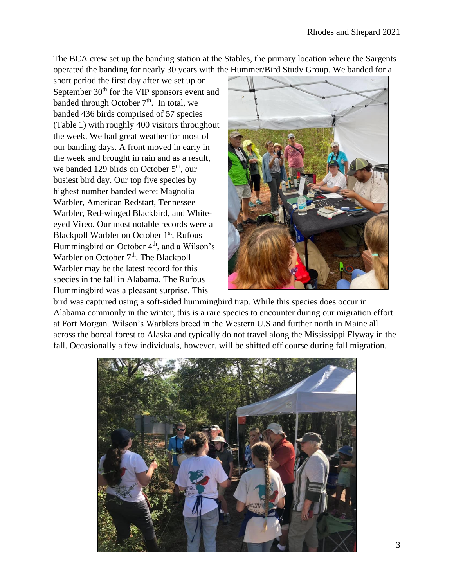The BCA crew set up the banding station at the Stables, the primary location where the Sargents operated the banding for nearly 30 years with the Hummer/Bird Study Group. We banded for a

short period the first day after we set up on September  $30<sup>th</sup>$  for the VIP sponsors event and banded through October  $7<sup>th</sup>$ . In total, we banded 436 birds comprised of 57 species (Table 1) with roughly 400 visitors throughout the week. We had great weather for most of our banding days. A front moved in early in the week and brought in rain and as a result, we banded 129 birds on October  $5<sup>th</sup>$ , our busiest bird day. Our top five species by highest number banded were: Magnolia Warbler, American Redstart, Tennessee Warbler, Red-winged Blackbird, and Whiteeyed Vireo. Our most notable records were a Blackpoll Warbler on October 1<sup>st</sup>, Rufous Hummingbird on October 4<sup>th</sup>, and a Wilson's Warbler on October 7<sup>th</sup>. The Blackpoll Warbler may be the latest record for this species in the fall in Alabama. The Rufous Hummingbird was a pleasant surprise. This



bird was captured using a soft-sided hummingbird trap. While this species does occur in Alabama commonly in the winter, this is a rare species to encounter during our migration effort at Fort Morgan. Wilson's Warblers breed in the Western U.S and further north in Maine all across the boreal forest to Alaska and typically do not travel along the Mississippi Flyway in the fall. Occasionally a few individuals, however, will be shifted off course during fall migration.

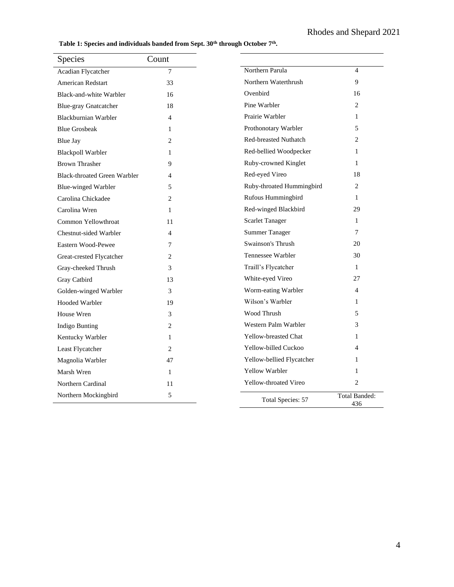**Table 1: Species and individuals banded from Sept. 30th through October 7th .**

| Species                             | Count          |                              |                             |
|-------------------------------------|----------------|------------------------------|-----------------------------|
| Acadian Flycatcher                  | $\overline{7}$ | Northern Parula              | $\overline{4}$              |
| American Redstart                   | 33             | Northern Waterthrush         | $\overline{9}$              |
| Black-and-white Warbler             | 16             | Ovenbird                     | 16                          |
| <b>Blue-gray Gnatcatcher</b>        | 18             | Pine Warbler                 | 2                           |
| Blackburnian Warbler                | $\overline{4}$ | Prairie Warbler              | 1                           |
| <b>Blue Grosbeak</b>                | 1              | Prothonotary Warbler         | 5                           |
| <b>Blue Jay</b>                     | $\overline{2}$ | <b>Red-breasted Nuthatch</b> | $\overline{c}$              |
| <b>Blackpoll Warbler</b>            | 1              | Red-bellied Woodpecker       | 1                           |
| <b>Brown Thrasher</b>               | 9              | Ruby-crowned Kinglet         | $\mathbf{1}$                |
| <b>Black-throated Green Warbler</b> | 4              | Red-eyed Vireo               | 18                          |
| Blue-winged Warbler                 | 5              | Ruby-throated Hummingbird    | 2                           |
| Carolina Chickadee                  | $\overline{2}$ | Rufous Hummingbird           | 1                           |
| Carolina Wren                       | 1              | Red-winged Blackbird         | 29                          |
| Common Yellowthroat                 | 11             | <b>Scarlet Tanager</b>       | 1                           |
| Chestnut-sided Warbler              | 4              | <b>Summer Tanager</b>        | 7                           |
| Eastern Wood-Pewee                  | 7              | Swainson's Thrush            | 20                          |
| Great-crested Flycatcher            | 2              | Tennessee Warbler            | 30                          |
| Gray-cheeked Thrush                 | 3              | Traill's Flycatcher          | $\mathbf{1}$                |
| Gray Catbird                        | 13             | White-eyed Vireo             | 27                          |
| Golden-winged Warbler               | 3              | Worm-eating Warbler          | $\overline{4}$              |
| <b>Hooded Warbler</b>               | 19             | Wilson's Warbler             | 1                           |
| House Wren                          | 3              | Wood Thrush                  | 5                           |
| Indigo Bunting                      | $\overline{c}$ | Western Palm Warbler         | 3                           |
| Kentucky Warbler                    | 1              | Yellow-breasted Chat         | $\mathbf{1}$                |
| Least Flycatcher                    | $\overline{2}$ | Yellow-billed Cuckoo         | 4                           |
| Magnolia Warbler                    | 47             | Yellow-bellied Flycatcher    | 1                           |
| Marsh Wren                          | 1              | <b>Yellow Warbler</b>        | 1                           |
| Northern Cardinal                   | 11             | Yellow-throated Vireo        | 2                           |
| Northern Mockingbird                | 5              | Total Species: 57            | <b>Total Banded:</b><br>436 |